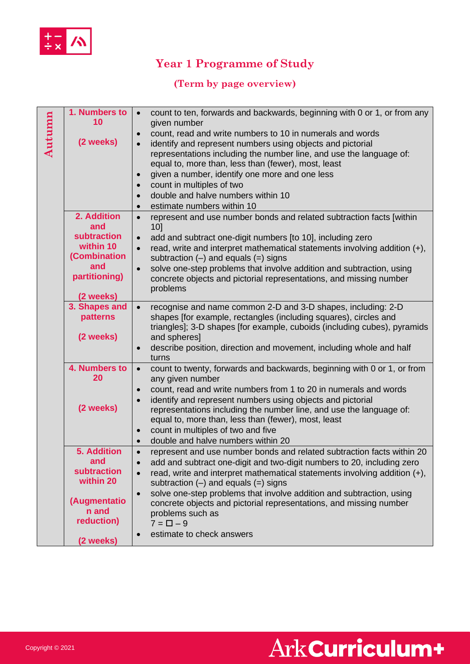

## **Year 1 Programme of Study**

#### **(Term by page overview)**

| Autumn | 1. Numbers to<br>10<br>(2 weeks)                                                                          | count to ten, forwards and backwards, beginning with 0 or 1, or from any<br>given number<br>count, read and write numbers to 10 in numerals and words<br>identify and represent numbers using objects and pictorial<br>representations including the number line, and use the language of:<br>equal to, more than, less than (fewer), most, least<br>given a number, identify one more and one less<br>count in multiples of two<br>double and halve numbers within 10<br>estimate numbers within 10                 |
|--------|-----------------------------------------------------------------------------------------------------------|----------------------------------------------------------------------------------------------------------------------------------------------------------------------------------------------------------------------------------------------------------------------------------------------------------------------------------------------------------------------------------------------------------------------------------------------------------------------------------------------------------------------|
|        | 2. Addition<br>and<br>subtraction<br>within 10<br>(Combination<br>and<br>partitioning)<br>(2 weeks)       | represent and use number bonds and related subtraction facts [within<br>10<br>add and subtract one-digit numbers [to 10], including zero<br>read, write and interpret mathematical statements involving addition $(+)$ ,<br>subtraction $(-)$ and equals $(=)$ signs<br>solve one-step problems that involve addition and subtraction, using<br>$\bullet$<br>concrete objects and pictorial representations, and missing number<br>problems                                                                          |
|        | 3. Shapes and<br>patterns<br>(2 weeks)                                                                    | recognise and name common 2-D and 3-D shapes, including: 2-D<br>$\bullet$<br>shapes [for example, rectangles (including squares), circles and<br>triangles]; 3-D shapes [for example, cuboids (including cubes), pyramids<br>and spheres]<br>describe position, direction and movement, including whole and half<br>turns                                                                                                                                                                                            |
|        | 4. Numbers to<br>20<br>(2 weeks)                                                                          | count to twenty, forwards and backwards, beginning with 0 or 1, or from<br>any given number<br>count, read and write numbers from 1 to 20 in numerals and words<br>$\bullet$<br>identify and represent numbers using objects and pictorial<br>representations including the number line, and use the language of:<br>equal to, more than, less than (fewer), most, least<br>count in multiples of two and five<br>$\bullet$<br>double and halve numbers within 20                                                    |
|        | <b>5. Addition</b><br>and<br>subtraction<br>within 20<br>(Augmentatio<br>n and<br>reduction)<br>(2 weeks) | represent and use number bonds and related subtraction facts within 20<br>$\bullet$<br>add and subtract one-digit and two-digit numbers to 20, including zero<br>read, write and interpret mathematical statements involving addition (+),<br>subtraction $(-)$ and equals $(=)$ signs<br>solve one-step problems that involve addition and subtraction, using<br>$\bullet$<br>concrete objects and pictorial representations, and missing number<br>problems such as<br>$7 = \Box - 9$<br>estimate to check answers |
|        |                                                                                                           |                                                                                                                                                                                                                                                                                                                                                                                                                                                                                                                      |

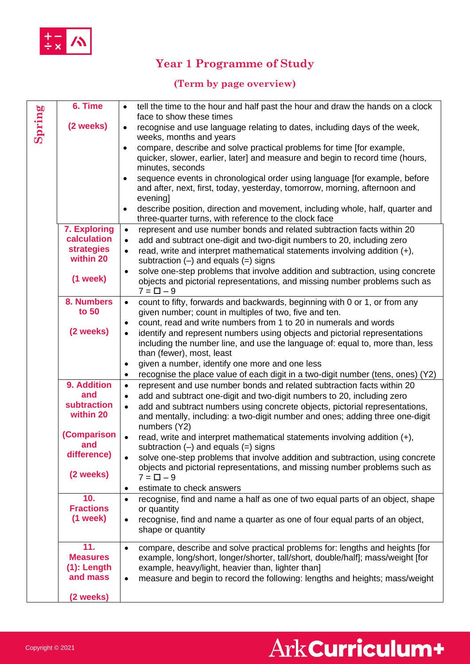

## **Year 1 Programme of Study**

#### **(Term by page overview)**

|        | 6. Time            | tell the time to the hour and half past the hour and draw the hands on a clock<br>$\bullet$                                                                                |
|--------|--------------------|----------------------------------------------------------------------------------------------------------------------------------------------------------------------------|
| Spring | (2 weeks)          | face to show these times<br>recognise and use language relating to dates, including days of the week,<br>$\bullet$                                                         |
|        |                    | weeks, months and years                                                                                                                                                    |
|        |                    | compare, describe and solve practical problems for time [for example,<br>$\bullet$                                                                                         |
|        |                    | quicker, slower, earlier, later] and measure and begin to record time (hours,                                                                                              |
|        |                    | minutes, seconds<br>sequence events in chronological order using language [for example, before<br>$\bullet$                                                                |
|        |                    | and after, next, first, today, yesterday, tomorrow, morning, afternoon and                                                                                                 |
|        |                    | evening]                                                                                                                                                                   |
|        |                    | describe position, direction and movement, including whole, half, quarter and<br>$\bullet$                                                                                 |
|        | 7. Exploring       | three-quarter turns, with reference to the clock face<br>represent and use number bonds and related subtraction facts within 20<br>$\bullet$                               |
|        | calculation        | add and subtract one-digit and two-digit numbers to 20, including zero<br>$\bullet$                                                                                        |
|        | <b>strategies</b>  | read, write and interpret mathematical statements involving addition $(+)$ ,<br>$\bullet$                                                                                  |
|        | within 20          | subtraction $(-)$ and equals $(=)$ signs                                                                                                                                   |
|        | $(1$ week $)$      | solve one-step problems that involve addition and subtraction, using concrete<br>$\bullet$<br>objects and pictorial representations, and missing number problems such as   |
|        |                    | $7 = \Box - 9$                                                                                                                                                             |
|        | 8. Numbers         | count to fifty, forwards and backwards, beginning with 0 or 1, or from any<br>$\bullet$                                                                                    |
|        | to 50              | given number; count in multiples of two, five and ten.                                                                                                                     |
|        | (2 weeks)          | count, read and write numbers from 1 to 20 in numerals and words<br>$\bullet$<br>identify and represent numbers using objects and pictorial representations<br>$\bullet$   |
|        |                    | including the number line, and use the language of: equal to, more than, less                                                                                              |
|        |                    | than (fewer), most, least                                                                                                                                                  |
|        |                    | given a number, identify one more and one less<br>$\bullet$                                                                                                                |
|        | 9. Addition        | recognise the place value of each digit in a two-digit number (tens, ones) (Y2)<br>$\bullet$                                                                               |
|        | and                | represent and use number bonds and related subtraction facts within 20<br>$\bullet$<br>add and subtract one-digit and two-digit numbers to 20, including zero<br>$\bullet$ |
|        | <b>subtraction</b> | add and subtract numbers using concrete objects, pictorial representations,<br>$\bullet$                                                                                   |
|        | within 20          | and mentally, including: a two-digit number and ones; adding three one-digit                                                                                               |
|        | (Comparison        | numbers (Y2)                                                                                                                                                               |
|        | and                | read, write and interpret mathematical statements involving addition (+),<br>$\bullet$<br>subtraction $(-)$ and equals $(=)$ signs                                         |
|        | difference)        | solve one-step problems that involve addition and subtraction, using concrete                                                                                              |
|        |                    | objects and pictorial representations, and missing number problems such as                                                                                                 |
|        | (2 weeks)          | $7 = \Box - 9$                                                                                                                                                             |
|        | 10.                | estimate to check answers<br>٠<br>recognise, find and name a half as one of two equal parts of an object, shape<br>$\bullet$                                               |
|        | <b>Fractions</b>   | or quantity                                                                                                                                                                |
|        | $(1$ week $)$      | recognise, find and name a quarter as one of four equal parts of an object,<br>$\bullet$                                                                                   |
|        |                    | shape or quantity                                                                                                                                                          |
|        | 11.                | compare, describe and solve practical problems for: lengths and heights [for<br>$\bullet$                                                                                  |
|        | <b>Measures</b>    | example, long/short, longer/shorter, tall/short, double/half]; mass/weight [for                                                                                            |
|        | $(1)$ : Length     | example, heavy/light, heavier than, lighter than]                                                                                                                          |
|        | and mass           | measure and begin to record the following: lengths and heights; mass/weight<br>$\bullet$                                                                                   |
|        | (2 weeks)          |                                                                                                                                                                            |

# Ark Curriculum+